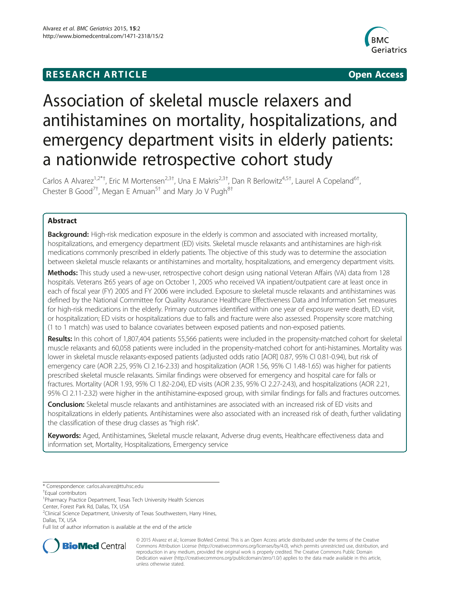## **RESEARCH ARTICLE Example 2008 CONSIDERING CONSIDERING CONSIDERING CONSIDERING CONSIDERING CONSIDERING CONSIDERING CONSIDERING CONSIDERING CONSIDERING CONSIDERING CONSIDERING CONSIDERING CONSIDERING CONSIDERING CONSIDE**



# Association of skeletal muscle relaxers and antihistamines on mortality, hospitalizations, and emergency department visits in elderly patients: a nationwide retrospective cohort study

Carlos A Alvarez<sup>1,2\*†</sup>, Eric M Mortensen<sup>2,3†</sup>, Una E Makris<sup>2,3†</sup>, Dan R Berlowitz<sup>4,5†</sup>, Laurel A Copeland<sup>6†</sup> , Chester B Good<sup>7†</sup>, Megan E Amuan<sup>5†</sup> and Mary Jo V Pugh<sup>8†</sup>

### Abstract

Background: High-risk medication exposure in the elderly is common and associated with increased mortality, hospitalizations, and emergency department (ED) visits. Skeletal muscle relaxants and antihistamines are high-risk medications commonly prescribed in elderly patients. The objective of this study was to determine the association between skeletal muscle relaxants or antihistamines and mortality, hospitalizations, and emergency department visits.

Methods: This study used a new-user, retrospective cohort design using national Veteran Affairs (VA) data from 128 hospitals. Veterans ≥65 years of age on October 1, 2005 who received VA inpatient/outpatient care at least once in each of fiscal year (FY) 2005 and FY 2006 were included. Exposure to skeletal muscle relaxants and antihistamines was defined by the National Committee for Quality Assurance Healthcare Effectiveness Data and Information Set measures for high-risk medications in the elderly. Primary outcomes identified within one year of exposure were death, ED visit, or hospitalization; ED visits or hospitalizations due to falls and fracture were also assessed. Propensity score matching (1 to 1 match) was used to balance covariates between exposed patients and non-exposed patients.

Results: In this cohort of 1,807,404 patients 55,566 patients were included in the propensity-matched cohort for skeletal muscle relaxants and 60,058 patients were included in the propensity-matched cohort for anti-histamines. Mortality was lower in skeletal muscle relaxants-exposed patients (adjusted odds ratio [AOR] 0.87, 95% CI 0.81-0.94), but risk of emergency care (AOR 2.25, 95% CI 2.16-2.33) and hospitalization (AOR 1.56, 95% CI 1.48-1.65) was higher for patients prescribed skeletal muscle relaxants. Similar findings were observed for emergency and hospital care for falls or fractures. Mortality (AOR 1.93, 95% CI 1.82-2.04), ED visits (AOR 2.35, 95% CI 2.27-2.43), and hospitalizations (AOR 2.21, 95% CI 2.11-2.32) were higher in the antihistamine-exposed group, with similar findings for falls and fractures outcomes.

Conclusion: Skeletal muscle relaxants and antihistamines are associated with an increased risk of ED visits and hospitalizations in elderly patients. Antihistamines were also associated with an increased risk of death, further validating the classification of these drug classes as "high risk".

Keywords: Aged, Antihistamines, Skeletal muscle relaxant, Adverse drug events, Healthcare effectiveness data and information set, Mortality, Hospitalizations, Emergency service

Center, Forest Park Rd, Dallas, TX, USA

Full list of author information is available at the end of the article



© 2015 Alvarez et al.; licensee BioMed Central. This is an Open Access article distributed under the terms of the Creative Commons Attribution License [\(http://creativecommons.org/licenses/by/4.0\)](http://creativecommons.org/licenses/by/4.0), which permits unrestricted use, distribution, and reproduction in any medium, provided the original work is properly credited. The Creative Commons Public Domain Dedication waiver [\(http://creativecommons.org/publicdomain/zero/1.0/](http://creativecommons.org/publicdomain/zero/1.0/)) applies to the data made available in this article, unless otherwise stated.

<sup>\*</sup> Correspondence: [carlos.alvarez@ttuhsc.edu](mailto:carlos.alvarez@ttuhsc.edu) †

Equal contributors

<sup>&</sup>lt;sup>1</sup> Pharmacy Practice Department, Texas Tech University Health Sciences

<sup>&</sup>lt;sup>2</sup>Clinical Science Department, University of Texas Southwestern, Harry Hines, Dallas, TX, USA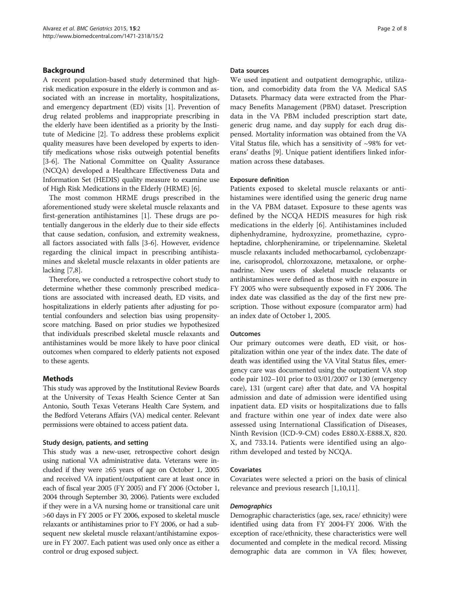#### Background

A recent population-based study determined that highrisk medication exposure in the elderly is common and associated with an increase in mortality, hospitalizations, and emergency department (ED) visits [[1](#page-7-0)]. Prevention of drug related problems and inappropriate prescribing in the elderly have been identified as a priority by the Institute of Medicine [\[2](#page-7-0)]. To address these problems explicit quality measures have been developed by experts to identify medications whose risks outweigh potential benefits [[3-6\]](#page-7-0). The National Committee on Quality Assurance (NCQA) developed a Healthcare Effectiveness Data and Information Set (HEDIS) quality measure to examine use of High Risk Medications in the Elderly (HRME) [\[6](#page-7-0)].

The most common HRME drugs prescribed in the aforementioned study were skeletal muscle relaxants and first-generation antihistamines [\[1\]](#page-7-0). These drugs are potentially dangerous in the elderly due to their side effects that cause sedation, confusion, and extremity weakness, all factors associated with falls [[3-6](#page-7-0)]. However, evidence regarding the clinical impact in prescribing antihistamines and skeletal muscle relaxants in older patients are lacking [[7,8\]](#page-7-0).

Therefore, we conducted a retrospective cohort study to determine whether these commonly prescribed medications are associated with increased death, ED visits, and hospitalizations in elderly patients after adjusting for potential confounders and selection bias using propensityscore matching. Based on prior studies we hypothesized that individuals prescribed skeletal muscle relaxants and antihistamines would be more likely to have poor clinical outcomes when compared to elderly patients not exposed to these agents.

#### Methods

This study was approved by the Institutional Review Boards at the University of Texas Health Science Center at San Antonio, South Texas Veterans Health Care System, and the Bedford Veterans Affairs (VA) medical center. Relevant permissions were obtained to access patient data.

#### Study design, patients, and setting

This study was a new-user, retrospective cohort design using national VA administrative data. Veterans were included if they were  $\geq 65$  years of age on October 1, 2005 and received VA inpatient/outpatient care at least once in each of fiscal year 2005 (FY 2005) and FY 2006 (October 1, 2004 through September 30, 2006). Patients were excluded if they were in a VA nursing home or transitional care unit >60 days in FY 2005 or FY 2006, exposed to skeletal muscle relaxants or antihistamines prior to FY 2006, or had a subsequent new skeletal muscle relaxant/antihistamine exposure in FY 2007. Each patient was used only once as either a control or drug exposed subject.

#### Data sources

We used inpatient and outpatient demographic, utilization, and comorbidity data from the VA Medical SAS Datasets. Pharmacy data were extracted from the Pharmacy Benefits Management (PBM) dataset. Prescription data in the VA PBM included prescription start date, generic drug name, and day supply for each drug dispensed. Mortality information was obtained from the VA Vital Status file, which has a sensitivity of  $\sim$ 98% for veterans' deaths [[9](#page-7-0)]. Unique patient identifiers linked information across these databases.

#### Exposure definition

Patients exposed to skeletal muscle relaxants or antihistamines were identified using the generic drug name in the VA PBM dataset. Exposure to these agents was defined by the NCQA HEDIS measures for high risk medications in the elderly [[6](#page-7-0)]. Antihistamines included diphenhydramine, hydroxyzine, promethazine, cyproheptadine, chlorpheniramine, or tripelennamine. Skeletal muscle relaxants included methocarbamol, cyclobenzaprine, carisoprodol, chlorzoxazone, metaxalone, or orphenadrine. New users of skeletal muscle relaxants or antihistamines were defined as those with no exposure in FY 2005 who were subsequently exposed in FY 2006. The index date was classified as the day of the first new prescription. Those without exposure (comparator arm) had an index date of October 1, 2005.

#### **Outcomes**

Our primary outcomes were death, ED visit, or hospitalization within one year of the index date. The date of death was identified using the VA Vital Status files, emergency care was documented using the outpatient VA stop code pair 102–101 prior to 03/01/2007 or 130 (emergency care), 131 (urgent care) after that date, and VA hospital admission and date of admission were identified using inpatient data. ED visits or hospitalizations due to falls and fracture within one year of index date were also assessed using International Classification of Diseases, Ninth Revision (ICD-9-CM) codes E880.X-E888.X, 820. X, and 733.14. Patients were identified using an algorithm developed and tested by NCQA.

#### Covariates

Covariates were selected a priori on the basis of clinical relevance and previous research [[1,10,11](#page-7-0)].

Demographic characteristics (age, sex, race/ ethnicity) were identified using data from FY 2004-FY 2006. With the exception of race/ethnicity, these characteristics were well documented and complete in the medical record. Missing demographic data are common in VA files; however,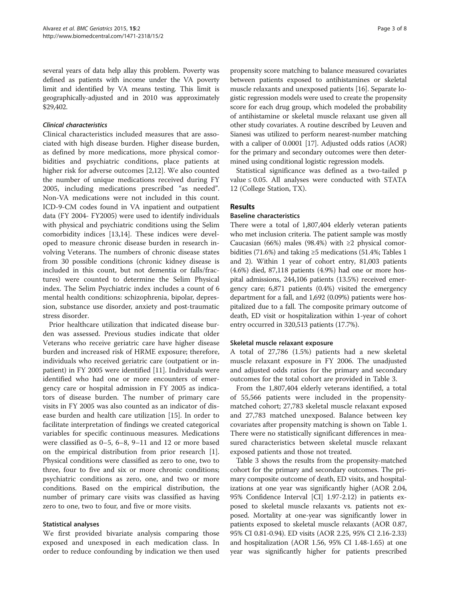several years of data help allay this problem. Poverty was defined as patients with income under the VA poverty limit and identified by VA means testing. This limit is geographically-adjusted and in 2010 was approximately \$29,402.

#### **Clinical characteristics**

Clinical characteristics Clinical characteristics included measures that are associated with high disease burden. Higher disease burden, as defined by more medications, more physical comorbidities and psychiatric conditions, place patients at higher risk for adverse outcomes [[2](#page-7-0),[12](#page-7-0)]. We also counted the number of unique medications received during FY 2005, including medications prescribed "as needed". Non-VA medications were not included in this count. ICD-9-CM codes found in VA inpatient and outpatient data (FY 2004- FY2005) were used to identify individuals with physical and psychiatric conditions using the Selim comorbidity indices [\[13,14](#page-7-0)]. These indices were developed to measure chronic disease burden in research involving Veterans. The numbers of chronic disease states from 30 possible conditions (chronic kidney disease is included in this count, but not dementia or falls/fractures) were counted to determine the Selim Physical index. The Selim Psychiatric index includes a count of 6 mental health conditions: schizophrenia, bipolar, depression, substance use disorder, anxiety and post-traumatic stress disorder.

Prior healthcare utilization that indicated disease burden was assessed. Previous studies indicate that older Veterans who receive geriatric care have higher disease burden and increased risk of HRME exposure; therefore, individuals who received geriatric care (outpatient or inpatient) in FY 2005 were identified [[11](#page-7-0)]. Individuals were identified who had one or more encounters of emergency care or hospital admission in FY 2005 as indicators of disease burden. The number of primary care visits in FY 2005 was also counted as an indicator of disease burden and health care utilization [[15\]](#page-7-0). In order to facilitate interpretation of findings we created categorical variables for specific continuous measures. Medications were classified as 0–5, 6–8, 9–11 and 12 or more based on the empirical distribution from prior research [\[1](#page-7-0)]. Physical conditions were classified as zero to one, two to three, four to five and six or more chronic conditions; psychiatric conditions as zero, one, and two or more conditions. Based on the empirical distribution, the number of primary care visits was classified as having zero to one, two to four, and five or more visits.

#### Statistical analyses

We first provided bivariate analysis comparing those exposed and unexposed in each medication class. In order to reduce confounding by indication we then used

propensity score matching to balance measured covariates between patients exposed to antihistamines or skeletal muscle relaxants and unexposed patients [[16](#page-7-0)]. Separate logistic regression models were used to create the propensity score for each drug group, which modeled the probability of antihistamine or skeletal muscle relaxant use given all other study covariates. A routine described by Leuven and Sianesi was utilized to perform nearest-number matching with a caliper of 0.0001 [\[17\]](#page-7-0). Adjusted odds ratios (AOR) for the primary and secondary outcomes were then determined using conditional logistic regression models.

Statistical significance was defined as a two-tailed p value  $\leq 0.05$ . All analyses were conducted with STATA 12 (College Station, TX).

#### Results

#### Baseline characteristics

There were a total of 1,807,404 elderly veteran patients who met inclusion criteria. The patient sample was mostly Caucasian (66%) males (98.4%) with ≥2 physical comorbidities (71.6%) and taking ≥5 medications (51.4%; Tables [1](#page-3-0) and [2](#page-4-0)). Within 1 year of cohort entry, 81,003 patients (4.6%) died, 87,118 patients (4.9%) had one or more hospital admissions, 244,106 patients (13.5%) received emergency care; 6,871 patients (0.4%) visited the emergency department for a fall, and 1,692 (0.09%) patients were hospitalized due to a fall. The composite primary outcome of death, ED visit or hospitalization within 1-year of cohort entry occurred in 320,513 patients (17.7%).

#### Skeletal muscle relaxant exposure

A total of 27,786 (1.5%) patients had a new skeletal muscle relaxant exposure in FY 2006. The unadjusted and adjusted odds ratios for the primary and secondary outcomes for the total cohort are provided in Table [3.](#page-5-0)

From the 1,807,404 elderly veterans identified, a total of 55,566 patients were included in the propensitymatched cohort; 27,783 skeletal muscle relaxant exposed and 27,783 matched unexposed. Balance between key covariates after propensity matching is shown on Table [1](#page-3-0). There were no statistically significant differences in measured characteristics between skeletal muscle relaxant exposed patients and those not treated.

Table [3](#page-5-0) shows the results from the propensity-matched cohort for the primary and secondary outcomes. The primary composite outcome of death, ED visits, and hospitalizations at one year was significantly higher (AOR 2.04, 95% Confidence Interval [CI] 1.97-2.12) in patients exposed to skeletal muscle relaxants vs. patients not exposed. Mortality at one-year was significantly lower in patients exposed to skeletal muscle relaxants (AOR 0.87, 95% CI 0.81-0.94). ED visits (AOR 2.25, 95% CI 2.16-2.33) and hospitalization (AOR 1.56, 95% CI 1.48-1.65) at one year was significantly higher for patients prescribed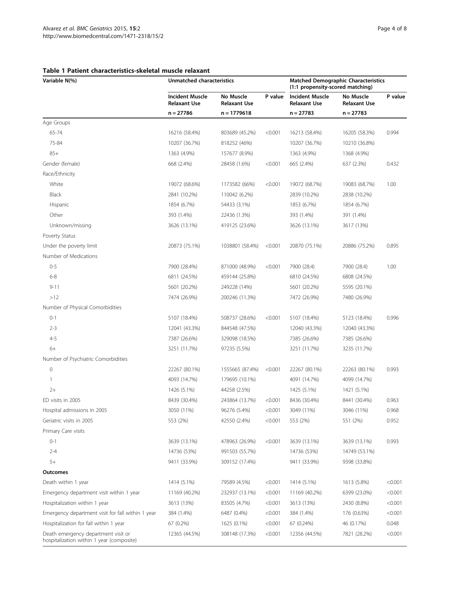<span id="page-3-0"></span>

| Table 1 Patient characteristics-skeletal muscle relaxant |  |  |  |  |  |
|----------------------------------------------------------|--|--|--|--|--|
|----------------------------------------------------------|--|--|--|--|--|

| Variable N(%)                                                                    | Unmatched characteristics                     |                                  |         | <b>Matched Demographic Characteristics</b><br>(1:1 propensity-scored matching) |                                  |         |
|----------------------------------------------------------------------------------|-----------------------------------------------|----------------------------------|---------|--------------------------------------------------------------------------------|----------------------------------|---------|
|                                                                                  | <b>Incident Muscle</b><br><b>Relaxant Use</b> | No Muscle<br><b>Relaxant Use</b> | P value | <b>Incident Muscle</b><br><b>Relaxant Use</b>                                  | No Muscle<br><b>Relaxant Use</b> | P value |
|                                                                                  | $n = 27786$                                   | $n = 1779618$                    |         | $n = 27783$                                                                    | $n = 27783$                      |         |
| Age Groups                                                                       |                                               |                                  |         |                                                                                |                                  |         |
| 65-74                                                                            | 16216 (58.4%)                                 | 803689 (45.2%)                   | < 0.001 | 16213 (58.4%)                                                                  | 16205 (58.3%)                    | 0.994   |
| 75-84                                                                            | 10207 (36.7%)                                 | 818252 (46%)                     |         | 10207 (36.7%)                                                                  | 10210 (36.8%)                    |         |
| $85+$                                                                            | 1363 (4.9%)                                   | 157677 (8.9%)                    |         | 1363 (4.9%)                                                                    | 1368 (4.9%)                      |         |
| Gender (female)                                                                  | 668 (2.4%)                                    | 28458 (1.6%)                     | < 0.001 | 665 (2.4%)                                                                     | 637 (2.3%)                       | 0.432   |
| Race/Ethnicity                                                                   |                                               |                                  |         |                                                                                |                                  |         |
| White                                                                            | 19072 (68.6%)                                 | 1173582 (66%)                    | < 0.001 | 19072 (68.7%)                                                                  | 19083 (68.7%)                    | 1.00    |
| Black                                                                            | 2841 (10.2%)                                  | 110042 (6.2%)                    |         | 2839 (10.2%)                                                                   | 2838 (10.2%)                     |         |
| Hispanic                                                                         | 1854 (6.7%)                                   | 54433 (3.1%)                     |         | 1853 (6.7%)                                                                    | 1854 (6.7%)                      |         |
| Other                                                                            | 393 (1.4%)                                    | 22436 (1.3%)                     |         | 393 (1.4%)                                                                     | 391 (1.4%)                       |         |
| Unknown/missing                                                                  | 3626 (13.1%)                                  | 419125 (23.6%)                   |         | 3626 (13.1%)                                                                   | 3617 (13%)                       |         |
| Poverty Status                                                                   |                                               |                                  |         |                                                                                |                                  |         |
| Under the poverty limit                                                          | 20873 (75.1%)                                 | 1038801 (58.4%)                  | < 0.001 | 20870 (75.1%)                                                                  | 20886 (75.2%)                    | 0.895   |
| Number of Medications                                                            |                                               |                                  |         |                                                                                |                                  |         |
| $0 - 5$                                                                          | 7900 (28.4%)                                  | 871000 (48.9%)                   | < 0.001 | 7900 (28.4)                                                                    | 7900 (28.4)                      | 1.00    |
| $6 - 8$                                                                          | 6811 (24.5%)                                  | 459144 (25.8%)                   |         | 6810 (24.5%)                                                                   | 6808 (24.5%)                     |         |
| $9 - 11$                                                                         | 5601 (20.2%)                                  | 249228 (14%)                     |         | 5601 (20.2%)                                                                   | 5595 (20.1%)                     |         |
| >12                                                                              | 7474 (26.9%)                                  | 200246 (11.3%)                   |         | 7472 (26.9%)                                                                   | 7480 (26.9%)                     |         |
| Number of Physical Comorbidities                                                 |                                               |                                  |         |                                                                                |                                  |         |
| $0 - 1$                                                                          | 5107 (18.4%)                                  | 508737 (28.6%)                   | < 0.001 | 5107 (18.4%)                                                                   | 5123 (18.4%)                     | 0.996   |
| $2 - 3$                                                                          | 12041 (43.3%)                                 | 844548 (47.5%)                   |         | 12040 (43.3%)                                                                  | 12040 (43.3%)                    |         |
| $4 - 5$                                                                          | 7387 (26.6%)                                  | 329098 (18.5%)                   |         | 7385 (26.6%)                                                                   | 7385 (26.6%)                     |         |
| $6+$                                                                             | 3251 (11.7%)                                  | 97235 (5.5%)                     |         | 3251 (11.7%)                                                                   | 3235 (11.7%)                     |         |
| Number of Psychiatric Comorbidities                                              |                                               |                                  |         |                                                                                |                                  |         |
| $\mathbf 0$                                                                      | 22267 (80.1%)                                 | 1555665 (87.4%)                  | < 0.001 | 22267 (80.1%)                                                                  | 22263 (80.1%)                    | 0.993   |
| 1                                                                                | 4093 (14.7%)                                  | 179695 (10.1%)                   |         | 4091 (14.7%)                                                                   | 4099 (14.7%)                     |         |
| $2+$                                                                             | 1426 (5.1%)                                   | 44258 (2.5%)                     |         | 1425 (5.1%)                                                                    | 1421 (5.1%)                      |         |
| ED visits in 2005                                                                | 8439 (30.4%)                                  | 243864 (13.7%)                   | < 0.001 | 8436 (30.4%)                                                                   | 8441 (30.4%)                     | 0.963   |
| Hospital admissions in 2005                                                      | 3050 (11%)                                    | 96276 (5.4%)                     | < 0.001 | 3049 (11%)                                                                     | 3046 (11%)                       | 0.968   |
| Geriatric visits in 2005                                                         | 553 (2%)                                      | 42550 (2.4%)                     | < 0.001 | 553 (2%)                                                                       | 551 (2%)                         | 0.952   |
| Primary Care visits                                                              |                                               |                                  |         |                                                                                |                                  |         |
| $0 - 1$                                                                          | 3639 (13.1%)                                  | 478963 (26.9%)                   | < 0.001 | 3639 (13.1%)                                                                   | 3639 (13.1%)                     | 0.993   |
| $2 - 4$                                                                          | 14736 (53%)                                   | 991503 (55.7%)                   |         | 14736 (53%)                                                                    | 14749 (53.1%)                    |         |
| $5+$                                                                             | 9411 (33.9%)                                  | 309152 (17.4%)                   |         | 9411 (33.9%)                                                                   | 9398 (33.8%)                     |         |
| <b>Outcomes</b>                                                                  |                                               |                                  |         |                                                                                |                                  |         |
| Death within 1 year                                                              | 1414 (5.1%)                                   | 79589 (4.5%)                     | < 0.001 | 1414 (5.1%)                                                                    | 1613 (5.8%)                      | < 0.001 |
| Emergency department visit within 1 year                                         | 11169 (40.2%)                                 | 232937 (13.1%)                   | < 0.001 | 11169 (40.2%)                                                                  | 6399 (23.0%)                     | < 0.001 |
| Hospitalization within 1 year                                                    | 3613 (13%)                                    | 83505 (4.7%)                     | < 0.001 | 3613 (13%)                                                                     | 2430 (8.8%)                      | < 0.001 |
| Emergency department visit for fall within 1 year                                | 384 (1.4%)                                    | 6487 (0.4%)                      | < 0.001 | 384 (1.4%)                                                                     | 176 (0.63%)                      | < 0.001 |
| Hospitalization for fall within 1 year                                           | 67 (0.2%)                                     | 1625 (0.1%)                      | < 0.001 | 67 (0.24%)                                                                     | 46 (0.17%)                       | 0.048   |
| Death emergency department visit or<br>hospitalization within 1 year (composite) | 12365 (44.5%)                                 | 308148 (17.3%)                   | < 0.001 | 12356 (44.5%)                                                                  | 7821 (28.2%)                     | < 0.001 |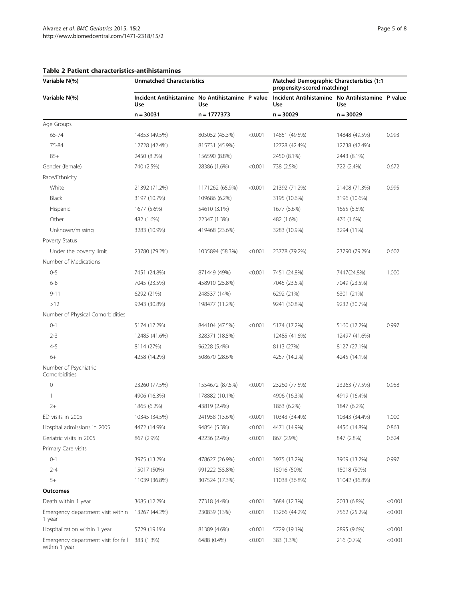| Variable N(%)                                        | <b>Unmatched Characteristics</b> |                 |         | <b>Matched Demographic Characteristics (1:1</b><br>propensity-scored matching)                         |               |         |
|------------------------------------------------------|----------------------------------|-----------------|---------|--------------------------------------------------------------------------------------------------------|---------------|---------|
| Variable N(%)                                        | Use                              | Use             |         | Incident Antihistamine No Antihistamine P value Incident Antihistamine No Antihistamine P value<br>Use | Use           |         |
|                                                      | $n = 30031$                      | $n = 1777373$   |         | $n = 30029$                                                                                            | $n = 30029$   |         |
| Age Groups                                           |                                  |                 |         |                                                                                                        |               |         |
| 65-74                                                | 14853 (49.5%)                    | 805052 (45.3%)  | < 0.001 | 14851 (49.5%)                                                                                          | 14848 (49.5%) | 0.993   |
| 75-84                                                | 12728 (42.4%)                    | 815731 (45.9%)  |         | 12728 (42.4%)                                                                                          | 12738 (42.4%) |         |
| $85+$                                                | 2450 (8.2%)                      | 156590 (8.8%)   |         | 2450 (8.1%)                                                                                            | 2443 (8.1%)   |         |
| Gender (female)                                      | 740 (2.5%)                       | 28386 (1.6%)    | < 0.001 | 738 (2.5%)                                                                                             | 722 (2.4%)    | 0.672   |
| Race/Ethnicity                                       |                                  |                 |         |                                                                                                        |               |         |
| White                                                | 21392 (71.2%)                    | 1171262 (65.9%) | < 0.001 | 21392 (71.2%)                                                                                          | 21408 (71.3%) | 0.995   |
| <b>Black</b>                                         | 3197 (10.7%)                     | 109686 (6.2%)   |         | 3195 (10.6%)                                                                                           | 3196 (10.6%)  |         |
| Hispanic                                             | 1677 (5.6%)                      | 54610 (3.1%)    |         | 1677 (5.6%)                                                                                            | 1655 (5.5%)   |         |
| Other                                                | 482 (1.6%)                       | 22347 (1.3%)    |         | 482 (1.6%)                                                                                             | 476 (1.6%)    |         |
| Unknown/missing                                      | 3283 (10.9%)                     | 419468 (23.6%)  |         | 3283 (10.9%)                                                                                           | 3294 (11%)    |         |
| Poverty Status                                       |                                  |                 |         |                                                                                                        |               |         |
| Under the poverty limit                              | 23780 (79.2%)                    | 1035894 (58.3%) | < 0.001 | 23778 (79.2%)                                                                                          | 23790 (79.2%) | 0.602   |
| Number of Medications                                |                                  |                 |         |                                                                                                        |               |         |
| $0 - 5$                                              | 7451 (24.8%)                     | 871449 (49%)    | < 0.001 | 7451 (24.8%)                                                                                           | 7447(24.8%)   | 1.000   |
| $6 - 8$                                              | 7045 (23.5%)                     | 458910 (25.8%)  |         | 7045 (23.5%)                                                                                           | 7049 (23.5%)  |         |
| $9 - 11$                                             | 6292 (21%)                       | 248537 (14%)    |         | 6292 (21%)                                                                                             | 6301 (21%)    |         |
| >12                                                  | 9243 (30.8%)                     | 198477 (11.2%)  |         | 9241 (30.8%)                                                                                           | 9232 (30.7%)  |         |
| Number of Physical Comorbidities                     |                                  |                 |         |                                                                                                        |               |         |
| $0 - 1$                                              | 5174 (17.2%)                     | 844104 (47.5%)  | < 0.001 | 5174 (17.2%)                                                                                           | 5160 (17.2%)  | 0.997   |
| $2 - 3$                                              | 12485 (41.6%)                    | 328371 (18.5%)  |         | 12485 (41.6%)                                                                                          | 12497 (41.6%) |         |
| $4 - 5$                                              | 8114 (27%)                       | 96228 (5.4%)    |         | 8113 (27%)                                                                                             | 8127 (27.1%)  |         |
| $6+$                                                 | 4258 (14.2%)                     | 508670 (28.6%)  |         | 4257 (14.2%)                                                                                           | 4245 (14.1%)  |         |
| Number of Psychiatric<br>Comorbidities               |                                  |                 |         |                                                                                                        |               |         |
| $\mathbf 0$                                          | 23260 (77.5%)                    | 1554672 (87.5%) | < 0.001 | 23260 (77.5%)                                                                                          | 23263 (77.5%) | 0.958   |
| 1                                                    | 4906 (16.3%)                     | 178882 (10.1%)  |         | 4906 (16.3%)                                                                                           | 4919 (16.4%)  |         |
| $2+$                                                 | 1865 (6.2%)                      | 43819 (2.4%)    |         | 1863 (6.2%)                                                                                            | 1847 (6.2%)   |         |
| ED visits in 2005                                    | 10345 (34.5%)                    | 241958 (13.6%)  | < 0.001 | 10343 (34.4%)                                                                                          | 10343 (34.4%) | 1.000   |
| Hospital admissions in 2005                          | 4472 (14.9%)                     | 94854 (5.3%)    | < 0.001 | 4471 (14.9%)                                                                                           | 4456 (14.8%)  | 0.863   |
| Geriatric visits in 2005                             | 867 (2.9%)                       | 42236 (2.4%)    | < 0.001 | 867 (2.9%)                                                                                             | 847 (2.8%)    | 0.624   |
| Primary Care visits                                  |                                  |                 |         |                                                                                                        |               |         |
| $0 - 1$                                              | 3975 (13.2%)                     | 478627 (26.9%)  | < 0.001 | 3975 (13.2%)                                                                                           | 3969 (13.2%)  | 0.997   |
| $2 - 4$                                              | 15017 (50%)                      | 991222 (55.8%)  |         | 15016 (50%)                                                                                            | 15018 (50%)   |         |
| $5+$                                                 | 11039 (36.8%)                    | 307524 (17.3%)  |         | 11038 (36.8%)                                                                                          | 11042 (36.8%) |         |
| <b>Outcomes</b>                                      |                                  |                 |         |                                                                                                        |               |         |
| Death within 1 year                                  | 3685 (12.2%)                     | 77318 (4.4%)    | < 0.001 | 3684 (12.3%)                                                                                           | 2033 (6.8%)   | < 0.001 |
| Emergency department visit within<br>1 year          | 13267 (44.2%)                    | 230839 (13%)    | < 0.001 | 13266 (44.2%)                                                                                          | 7562 (25.2%)  | < 0.001 |
| Hospitalization within 1 year                        | 5729 (19.1%)                     | 81389 (4.6%)    | < 0.001 | 5729 (19.1%)                                                                                           | 2895 (9.6%)   | < 0.001 |
| Emergency department visit for fall<br>within 1 year | 383 (1.3%)                       | 6488 (0.4%)     | < 0.001 | 383 (1.3%)                                                                                             | 216 (0.7%)    | < 0.001 |

#### <span id="page-4-0"></span>Table 2 Patient characteristics-antihistamines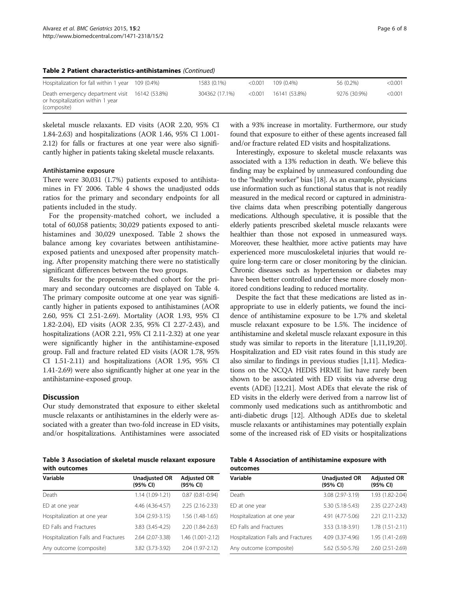<span id="page-5-0"></span>

| Table 2 Patient characteristics-antihistamines (Continued) |  |
|------------------------------------------------------------|--|
|------------------------------------------------------------|--|

| Hospitalization for fall within 1 year 109 (0.4%)                                                 | 1583 (0.1%)    | < 0.001 | 109 (0.4%)    | 56 (0.2%)    | < 0.001 |
|---------------------------------------------------------------------------------------------------|----------------|---------|---------------|--------------|---------|
| Death emergency department visit 16142 (53.8%)<br>or hospitalization within 1 year<br>(composite) | 304362 (17.1%) | < 0.001 | 16141 (53.8%) | 9276 (30.9%) | < 0.001 |

skeletal muscle relaxants. ED visits (AOR 2.20, 95% CI 1.84-2.63) and hospitalizations (AOR 1.46, 95% CI 1.001- 2.12) for falls or fractures at one year were also significantly higher in patients taking skeletal muscle relaxants.

#### Antihistamine exposure

There were 30,031 (1.7%) patients exposed to antihistamines in FY 2006. Table 4 shows the unadjusted odds ratios for the primary and secondary endpoints for all patients included in the study.

For the propensity-matched cohort, we included a total of 60,058 patients; 30,029 patients exposed to antihistamines and 30,029 unexposed. Table [2](#page-4-0) shows the balance among key covariates between antihistamineexposed patients and unexposed after propensity matching. After propensity matching there were no statistically significant differences between the two groups.

Results for the propensity-matched cohort for the primary and secondary outcomes are displayed on Table 4. The primary composite outcome at one year was significantly higher in patients exposed to antihistamines (AOR 2.60, 95% CI 2.51-2.69). Mortality (AOR 1.93, 95% CI 1.82-2.04), ED visits (AOR 2.35, 95% CI 2.27-2.43), and hospitalizations (AOR 2.21, 95% CI 2.11-2.32) at one year were significantly higher in the antihistamine-exposed group. Fall and fracture related ED visits (AOR 1.78, 95% CI 1.51-2.11) and hospitalizations (AOR 1.95, 95% CI 1.41-2.69) were also significantly higher at one year in the antihistamine-exposed group.

#### **Discussion**

Our study demonstrated that exposure to either skeletal muscle relaxants or antihistamines in the elderly were associated with a greater than two-fold increase in ED visits, and/or hospitalizations. Antihistamines were associated

Table 3 Association of skeletal muscle relaxant exposure with outcomes

| Variable                            | <b>Unadjusted OR</b><br>(95% CI) | <b>Adjusted OR</b><br>(95% CI) |
|-------------------------------------|----------------------------------|--------------------------------|
| Death                               | 1.14 (1.09-1.21)                 | $0.87(0.81 - 0.94)$            |
| ED at one year                      | 4.46 (4.36-4.57)                 | $2.25(2.16-2.33)$              |
| Hospitalization at one year         | 3.04 (2.93-3.15)                 | 1.56 (1.48-1.65)               |
| ED Falls and Fractures              | 3.83 (3.45-4.25)                 | 2.20 (1.84-2.63)               |
| Hospitalization Falls and Fractures | 2.64 (2.07-3.38)                 | 1.46 (1.001-2.12)              |
| Any outcome (composite)             | 3.82 (3.73-3.92)                 | 2.04 (1.97-2.12)               |

with a 93% increase in mortality. Furthermore, our study found that exposure to either of these agents increased fall and/or fracture related ED visits and hospitalizations.

Interestingly, exposure to skeletal muscle relaxants was associated with a 13% reduction in death. We believe this finding may be explained by unmeasured confounding due to the "healthy worker" bias [\[18](#page-7-0)]. As an example, physicians use information such as functional status that is not readily measured in the medical record or captured in administrative claims data when prescribing potentially dangerous medications. Although speculative, it is possible that the elderly patients prescribed skeletal muscle relaxants were healthier than those not exposed in unmeasured ways. Moreover, these healthier, more active patients may have experienced more musculoskeletal injuries that would require long-term care or closer monitoring by the clinician. Chronic diseases such as hypertension or diabetes may have been better controlled under these more closely monitored conditions leading to reduced mortality.

Despite the fact that these medications are listed as inappropriate to use in elderly patients, we found the incidence of antihistamine exposure to be 1.7% and skeletal muscle relaxant exposure to be 1.5%. The incidence of antihistamine and skeletal muscle relaxant exposure in this study was similar to reports in the literature [[1,11,19,20](#page-7-0)]. Hospitalization and ED visit rates found in this study are also similar to findings in previous studies [\[1,11](#page-7-0)]. Medications on the NCQA HEDIS HRME list have rarely been shown to be associated with ED visits via adverse drug events (ADE) [[12,21\]](#page-7-0). Most ADEs that elevate the risk of ED visits in the elderly were derived from a narrow list of commonly used medications such as antithrombotic and anti-diabetic drugs [\[12](#page-7-0)]. Although ADEs due to skeletal muscle relaxants or antihistamines may potentially explain some of the increased risk of ED visits or hospitalizations

| Table 4 Association of antihistamine exposure with |  |  |
|----------------------------------------------------|--|--|
| outcomes                                           |  |  |

| Variable                            | <b>Unadjusted OR</b><br>(95% CI) | <b>Adjusted OR</b><br>(95% CI) |
|-------------------------------------|----------------------------------|--------------------------------|
| Death                               | 3.08 (2.97-3.19)                 | 1.93 (1.82-2.04)               |
| ED at one year                      | 5.30 (5.18-5.43)                 | 2.35 (2.27-2.43)               |
| Hospitalization at one year         | 4.91 (4.77-5.06)                 | 2.21 (2.11-2.32)               |
| FD Falls and Fractures              | 3.53 (3.18-3.91)                 | $1.78(1.51 - 2.11)$            |
| Hospitalization Falls and Fractures | 4.09 (3.37-4.96)                 | 1.95 (1.41-2.69)               |
| Any outcome (composite)             | 5.62 (5.50-5.76)                 | 2.60 (2.51-2.69)               |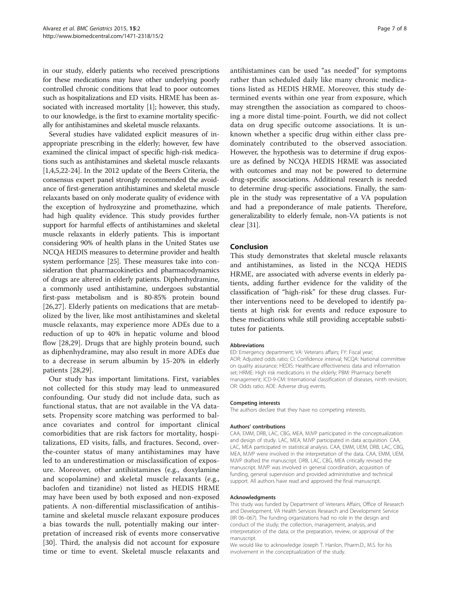in our study, elderly patients who received prescriptions for these medications may have other underlying poorly controlled chronic conditions that lead to poor outcomes such as hospitalizations and ED visits. HRME has been associated with increased mortality [\[1\]](#page-7-0); however, this study, to our knowledge, is the first to examine mortality specifically for antihistamines and skeletal muscle relaxants.

Several studies have validated explicit measures of inappropriate prescribing in the elderly; however, few have examined the clinical impact of specific high-risk medications such as antihistamines and skeletal muscle relaxants [[1,4,5,22-24](#page-7-0)]. In the 2012 update of the Beers Criteria, the consensus expert panel strongly recommended the avoidance of first-generation antihistamines and skeletal muscle relaxants based on only moderate quality of evidence with the exception of hydroxyzine and promethazine, which had high quality evidence. This study provides further support for harmful effects of antihistamines and skeletal muscle relaxants in elderly patients. This is important considering 90% of health plans in the United States use NCQA HEDIS measures to determine provider and health system performance [\[25\]](#page-7-0). These measures take into consideration that pharmacokinetics and pharmacodynamics of drugs are altered in elderly patients. Diphenhydramine, a commonly used antihistamine, undergoes substantial first-pass metabolism and is 80-85% protein bound [[26,27](#page-7-0)]. Elderly patients on medications that are metabolized by the liver, like most antihistamines and skeletal muscle relaxants, may experience more ADEs due to a reduction of up to 40% in hepatic volume and blood flow [\[28,29](#page-7-0)]. Drugs that are highly protein bound, such as diphenhydramine, may also result in more ADEs due to a decrease in serum albumin by 15-20% in elderly patients [[28,29](#page-7-0)].

Our study has important limitations. First, variables not collected for this study may lead to unmeasured confounding. Our study did not include data, such as functional status, that are not available in the VA datasets. Propensity score matching was performed to balance covariates and control for important clinical comorbidities that are risk factors for mortality, hospitalizations, ED visits, falls, and fractures. Second, overthe-counter status of many antihistamines may have led to an underestimation or misclassification of exposure. Moreover, other antihistamines (e.g., doxylamine and scopolamine) and skeletal muscle relaxants (e.g., baclofen and tizanidine) not listed as HEDIS HRME may have been used by both exposed and non-exposed patients. A non-differential misclassification of antihistamine and skeletal muscle relaxant exposure produces a bias towards the null, potentially making our interpretation of increased risk of events more conservative [[30\]](#page-7-0). Third, the analysis did not account for exposure time or time to event. Skeletal muscle relaxants and

antihistamines can be used "as needed" for symptoms rather than scheduled daily like many chronic medications listed as HEDIS HRME. Moreover, this study determined events within one year from exposure, which may strengthen the association as compared to choosing a more distal time-point. Fourth, we did not collect data on drug specific outcome associations. It is unknown whether a specific drug within either class predominately contributed to the observed association. However, the hypothesis was to determine if drug exposure as defined by NCQA HEDIS HRME was associated with outcomes and may not be powered to determine drug-specific associations. Additional research is needed to determine drug-specific associations. Finally, the sample in the study was representative of a VA population and had a preponderance of male patients. Therefore, generalizability to elderly female, non-VA patients is not clear [[31](#page-7-0)].

#### Conclusion

This study demonstrates that skeletal muscle relaxants and antihistamines, as listed in the NCQA HEDIS HRME, are associated with adverse events in elderly patients, adding further evidence for the validity of the classification of "high-risk" for these drug classes. Further interventions need to be developed to identify patients at high risk for events and reduce exposure to these medications while still providing acceptable substitutes for patients.

#### Abbreviations

ED: Emergency department; VA: Veterans affairs; FY: Fiscal year; AOR: Adjusted odds ratio; CI: Confidence interval; NCQA: National committee on quality assurance; HEDIS: Healthcare effectiveness data and information set; HRME: High risk medications in the elderly; PBM: Pharmacy benefit management; ICD-9-CM: International classification of diseases, ninth revision; OR: Odds ratio; ADE: Adverse drug events.

#### Competing interests

The authors declare that they have no competing interests.

#### Authors' contributions

CAA, EMM, DRB, LAC, CBG, MEA, MJVP participated in the conceptualization and design of study. LAC, MEA, MJVP participated in data acquisition. CAA, LAC, MEA participated in statistical analysis. CAA, EMM, UEM, DRB, LAC, CBG, MEA, MJVP were involved in the interpretation of the data. CAA, EMM, UEM, MJVP drafted the manuscript. DRB, LAC, CBG, MEA critically revised the manuscript. MJVP was involved in general coordination, acquisition of funding, general supervision and provided administrative and technical support. All authors have read and approved the final manuscript.

#### Acknowledgments

This study was funded by Department of Veterans Affairs, Office of Research and Development, VA Health Services Research and Development Service (IIR 06–067). The funding organizations had no role in the design and conduct of the study; the collection, management, analysis, and interpretation of the data; or the preparation, review, or approval of the manuscript.

We would like to acknowledge Joseph T. Hanlon, Pharm.D., M.S. for his involvement in the conceptualization of the study.